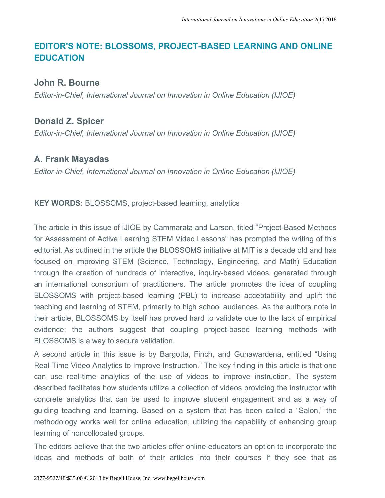## **EDITOR'S NOTE: BLOSSOMS, PROJECT-BASED LEARNING AND ONLINE EDUCATION**

## **John R. Bourne**

*Editor-in-Chief, International Journal on Innovation in Online Education (IJIOE)*

## **Donald Z. Spicer**

*Editor-in-Chief, International Journal on Innovation in Online Education (IJIOE)*

## **A. Frank Mayadas**

*Editor-in-Chief, International Journal on Innovation in Online Education (IJIOE)*

**KEY WORDS:** BLOSSOMS, project-based learning, analytics

The article in this issue of IJIOE by Cammarata and Larson, titled "Project-Based Methods for Assessment of Active Learning STEM Video Lessons" has prompted the writing of this editorial. As outlined in the article the BLOSSOMS initiative at MIT is a decade old and has focused on improving STEM (Science, Technology, Engineering, and Math) Education through the creation of hundreds of interactive, inquiry-based videos, generated through an international consortium of practitioners. The article promotes the idea of coupling BLOSSOMS with project-based learning (PBL) to increase acceptability and uplift the teaching and learning of STEM, primarily to high school audiences. As the authors note in their article, BLOSSOMS by itself has proved hard to validate due to the lack of empirical evidence; the authors suggest that coupling project-based learning methods with BLOSSOMS is a way to secure validation.

A second article in this issue is by Bargotta, Finch, and Gunawardena, entitled "Using Real-Time Video Analytics to Improve Instruction." The key finding in this article is that one can use real-time analytics of the use of videos to improve instruction. The system described facilitates how students utilize a collection of videos providing the instructor with concrete analytics that can be used to improve student engagement and as a way of guiding teaching and learning. Based on a system that has been called a "Salon," the methodology works well for online education, utilizing the capability of enhancing group learning of noncollocated groups.

The editors believe that the two articles offer online educators an option to incorporate the ideas and methods of both of their articles into their courses if they see that as